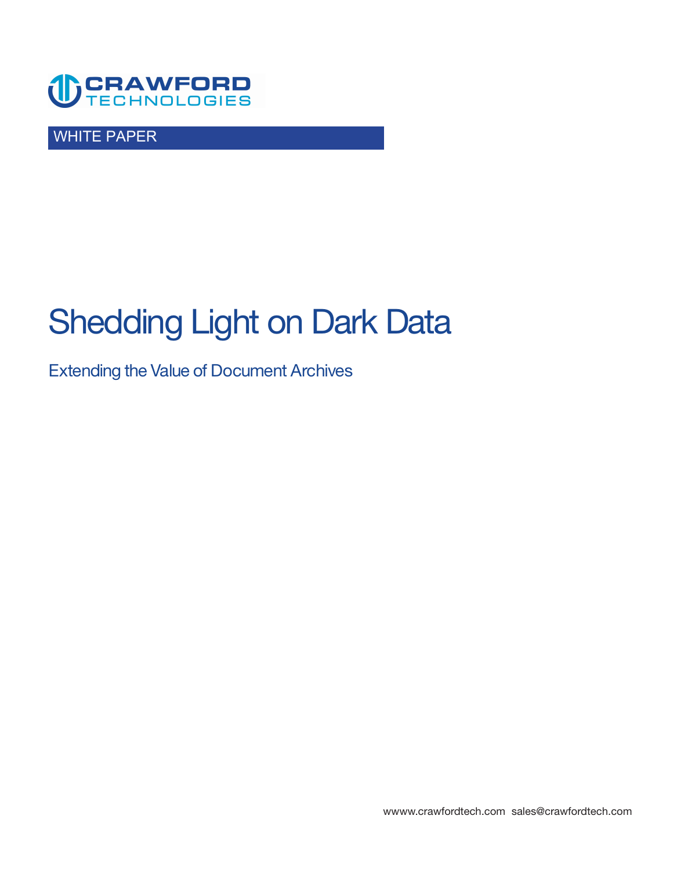

WHITE PAPER

# **Shedding Light on Dark Data**

**Extending the Value of Document Archives** 

**<wwww.crawfordtech.com>[sales@crawfordtech.com](mailto:sales@crawfordtech.com)**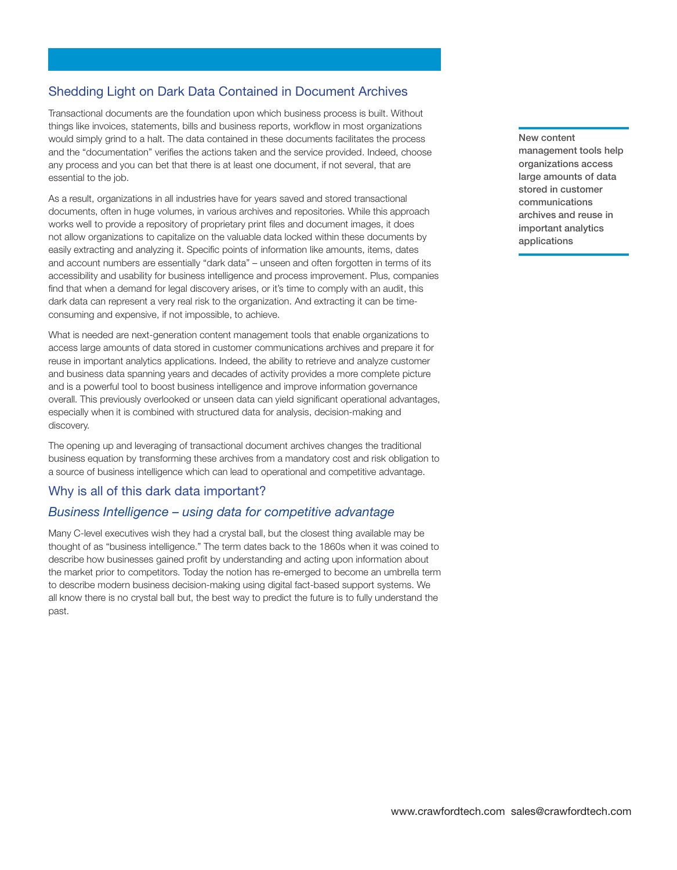# **Shedding Light on Dark Data Contained in Document Archives**

**Transactional documents are the foundation upon which business process is built. Without things like invoices, statements, bills and business reports, workflow in most organizations would simply grind to a halt. The data contained in these documents facilitates the process and the "documentation" verifies the actions taken and the service provided. Indeed, choose any process and you can bet that there is at least one document, if not several, that are essential to the job.** 

**As a result, organizations in all industries have for years saved and stored transactional documents, often in huge volumes, in various archives and repositories. While this approach works well to provide a repository of proprietary print files and document images, it does not allow organizations to capitalize on the valuable data locked within these documents by easily extracting and analyzing it. Specific points of information like amounts, items, dates and account numbers are essentially "dark data" – unseen and often forgotten in terms of its accessibility and usability for business intelligence and process improvement. Plus, companies find that when a demand for legal discovery arises, or it's time to comply with an audit, this dark data can represent a very real risk to the organization. And extracting it can be timeconsuming and expensive, if not impossible, to achieve.** 

**What is needed are next-generation content management tools that enable organizations to access large amounts of data stored in customer communications archives and prepare it for reuse in important analytics applications. Indeed, the ability to retrieve and analyze customer and business data spanning years and decades of activity provides a more complete picture and is a powerful tool to boost business intelligence and improve information governance overall. This previously overlooked or unseen data can yield significant operational advantages, especially when it is combined with structured data for analysis, decision-making and discovery.** 

**The opening up and leveraging of transactional document archives changes the traditional business equation by transforming these archives from a mandatory cost and risk obligation to a source of business intelligence which can lead to operational and competitive advantage.** 

#### **Why is all of this dark data important?**

#### *Business Intelligence – using data for competitive advantage*

**Many C-level executives wish they had a crystal ball, but the closest thing available may be thought of as "business intelligence." The term dates back to the 1860s when it was coined to describe how businesses gained profit by understanding and acting upon information about the market prior to competitors. Today the notion has re-emerged to become an umbrella term to describe modern business decision-making using digital fact-based support systems. We all know there is no crystal ball but, the best way to predict the future is to fully understand the past.** 

**New content management tools help organizations access large amounts of data stored in customer communications archives and reuse in important analytics applications**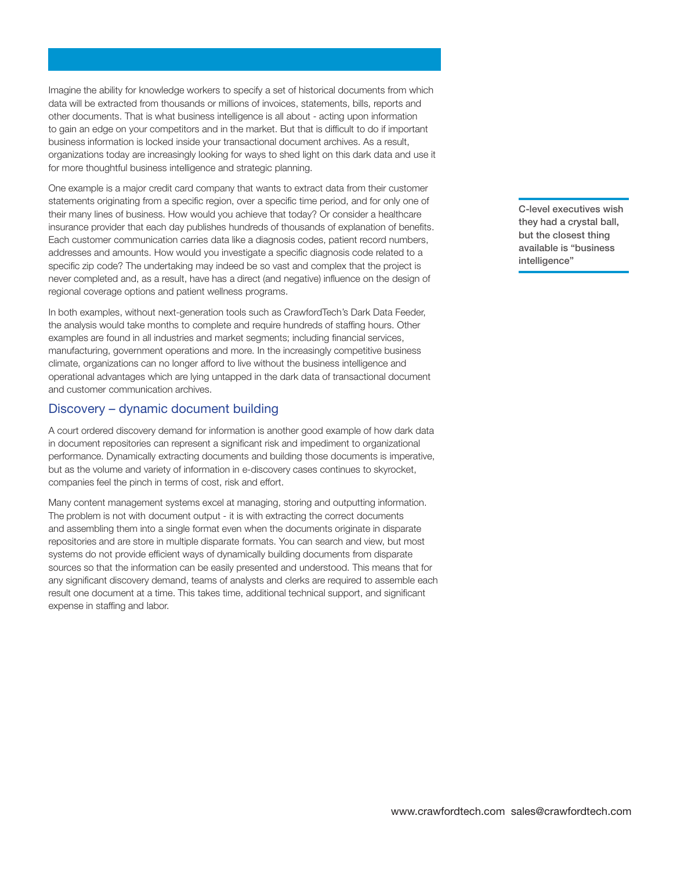**Imagine the ability for knowledge workers to specify a set of historical documents from which data will be extracted from thousands or millions of invoices, statements, bills, reports and other documents. That is what business intelligence is all about - acting upon information to gain an edge on your competitors and in the market. But that is difficult to do if important business information is locked inside your transactional document archives. As a result, organizations today are increasingly looking for ways to shed light on this dark data and use it for more thoughtful business intelligence and strategic planning.** 

**One example is a major credit card company that wants to extract data from their customer statements originating from a specific region, over a specific time period, and for only one of their many lines of business. How would you achieve that today? Or consider a healthcare insurance provider that each day publishes hundreds of thousands of explanation of benefits. Each customer communication carries data like a diagnosis codes, patient record numbers, addresses and amounts. How would you investigate a specific diagnosis code related to a specific zip code? The undertaking may indeed be so vast and complex that the project is never completed and, as a result, have has a direct (and negative) influence on the design of regional coverage options and patient wellness programs.** 

**In both examples, without next-generation tools such as CrawfordTech's Dark Data Feeder, the analysis would take months to complete and require hundreds of staffing hours. Other examples are found in all industries and market segments; including financial services, manufacturing, government operations and more. In the increasingly competitive business climate, organizations can no longer afford to live without the business intelligence and operational advantages which are lying untapped in the dark data of transactional document and customer communication archives.** 

### **Discovery – dynamic document building**

**A court ordered discovery demand for information is another good example of how dark data in document repositories can represent a significant risk and impediment to organizational performance. Dynamically extracting documents and building those documents is imperative, but as the volume and variety of information in e-discovery cases continues to skyrocket, companies feel the pinch in terms of cost, risk and effort.** 

**Many content management systems excel at managing, storing and outputting information. The problem is not with document output - it is with extracting the correct documents and assembling them into a single format even when the documents originate in disparate repositories and are store in multiple disparate formats. You can search and view, but most systems do not provide efficient ways of dynamically building documents from disparate sources so that the information can be easily presented and understood. This means that for any significant discovery demand, teams of analysts and clerks are required to assemble each result one document at a time. This takes time, additional technical support, and significant expense in staffing and labor.** 

**C-level executives wish they had a crystal ball, but the closest thing available is "business intelligence"**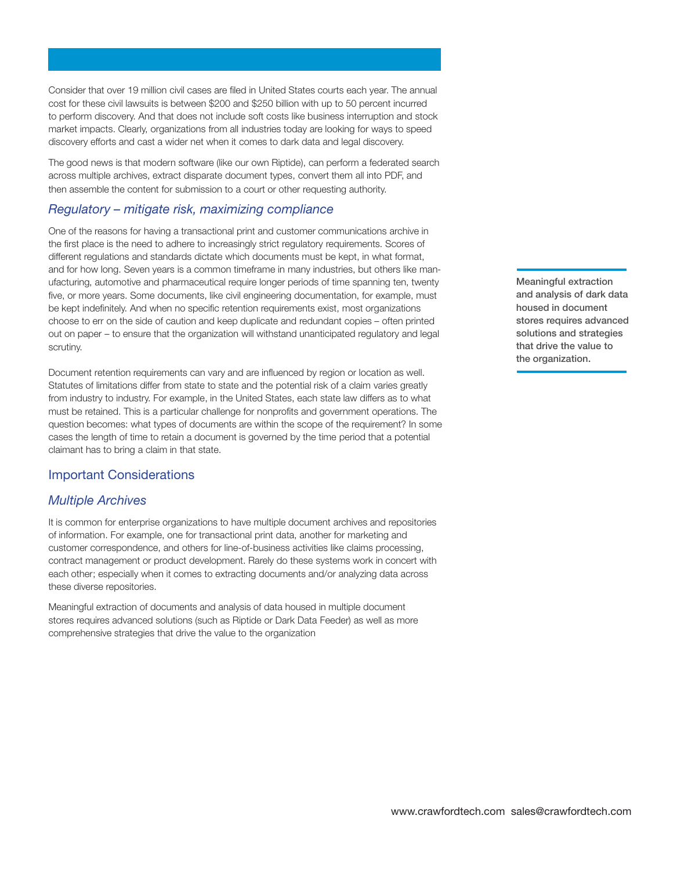**Consider that over 19 million civil cases are filed in United States courts each year. The annual cost for these civil lawsuits is between \$200 and \$250 billion with up to 50 percent incurred to perform discovery. And that does not include soft costs like business interruption and stock market impacts. Clearly, organizations from all industries today are looking for ways to speed discovery efforts and cast a wider net when it comes to dark data and legal discovery.** 

**The good news is that modern software (like our own Riptide), can perform a federated search across multiple archives, extract disparate document types, convert them all into PDF, and then assemble the content for submission to a court or other requesting authority.** 

## *Regulatory – mitigate risk, maximizing compliance*

**One of the reasons for having a transactional print and customer communications archive in the first place is the need to adhere to increasingly strict regulatory requirements. Scores of different regulations and standards dictate which documents must be kept, in what format, and for how long. Seven years is a common timeframe in many industries, but others like manufacturing, automotive and pharmaceutical require longer periods of time spanning ten, twenty five, or more years. Some documents, like civil engineering documentation, for example, must be kept indefinitely. And when no specific retention requirements exist, most organizations choose to err on the side of caution and keep duplicate and redundant copies – often printed out on paper – to ensure that the organization will withstand unanticipated regulatory and legal scrutiny.** 

**Document retention requirements can vary and are influenced by region or location as well. Statutes of limitations differ from state to state and the potential risk of a claim varies greatly from industry to industry. For example, in the United States, each state law differs as to what must be retained. This is a particular challenge for nonprofits and government operations. The question becomes: what types of documents are within the scope of the requirement? In some cases the length of time to retain a document is governed by the time period that a potential claimant has to bring a claim in that state.** 

#### **Important Considerations**

## *Multiple Archives*

**It is common for enterprise organizations to have multiple document archives and repositories of information. For example, one for transactional print data, another for marketing and customer correspondence, and others for line-of-business activities like claims processing, contract management or product development. Rarely do these systems work in concert with each other; especially when it comes to extracting documents and/or analyzing data across these diverse repositories.** 

**Meaningful extraction of documents and analysis of data housed in multiple document stores requires advanced solutions (such as Riptide or Dark Data Feeder) as well as more comprehensive strategies that drive the value to the organization** 

**Meaningful extraction and analysis of dark data housed in document stores requires advanced solutions and strategies that drive the value to the organization.**